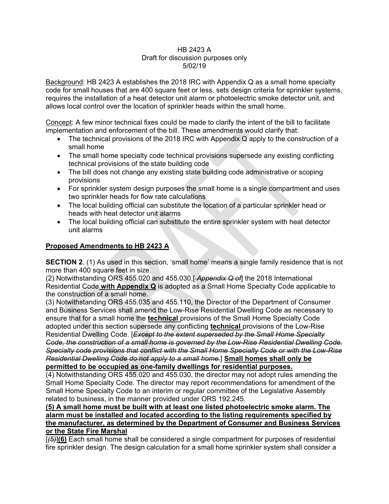## HB 2423 A Draft for discussion purposes only 5/02/19

Background: HB 2423 A establishes the 2018 IRC with Appendix Q as a small home specialty code for small houses that are 400 square feet or less, sets design criteria for sprinkler systems, requires the installation of a heat detector unit alarm or photoelectric smoke detector unit, and allows local control over the location of sprinkler heads within the small home.

Concept: A few minor technical fixes could be made to clarify the intent of the bill to facilitate implementation and enforcement of the bill. These amendments would clarify that:

- The technical provisions of the 2018 IRC with Appendix Q apply to the construction of a small home
- The small home specialty code technical provisions supersede any existing conflicting technical provisions of the state building code
- The bill does not change any existing state building code administrative or scoping provisions
- For sprinkler system design purposes the small home is a single compartment and uses two sprinkler heads for flow rate calculations
- The local building official can substitute the location of a particular sprinkler head or heads with heat detector unit alarms
- The local building official can substitute the entire sprinkler system with heat detector unit alarms

## **Proposed Amendments to HB 2423 A**

**SECTION 2**. (1) As used in this section, 'small home' means a single family residence that is not more than 400 square feet in size.

(2) Notwithstanding ORS 455.020 and 455.030,[ *Appendix Q of*] the 2018 International Residential Code **with Appendix Q** is adopted as a Small Home Specialty Code applicable to the construction of a small home.

(3) Notwithstanding ORS 455.035 and 455.110, the Director of the Department of Consumer and Business Services shall amend the Low-Rise Residential Dwelling Code as necessary to ensure that for a small home the **technical** provisions of the Small Home Specialty Code adopted under this section supersede any conflicting **technical** provisions of the Low-Rise Residential Dwelling Code. [*Except to the extent superseded by the Small Home Specialty Code, the construction of a small home is governed by the Low-Rise Residential Dwelling Code. Specialty code provisions that conflict with the Small Home Specialty Code or with the Low-Rise Residential Dwelling Code do not apply to a small home.*] **Small homes shall only be permitted to be occupied as one-family dwellings for residential purposes.**

(4) Notwithstanding ORS 455.020 and 455.030, the director may not adopt rules amending the Small Home Specialty Code. The director may report recommendations for amendment of the Small Home Specialty Code to an interim or regular committee of the Legislative Assembly related to business, in the manner provided under ORS 192.245.

## **(5) A small home must be built with at least one listed photoelectric smoke alarm. The alarm must be installed and located according to the listing requirements specified by the manufacturer, as determined by the Department of Consumer and Business Services or the State Fire Marshal**

[*(5)*]**(6)** Each small home shall be considered a single compartment for purposes of residential fire sprinkler design. The design calculation for a small home sprinkler system shall consider a